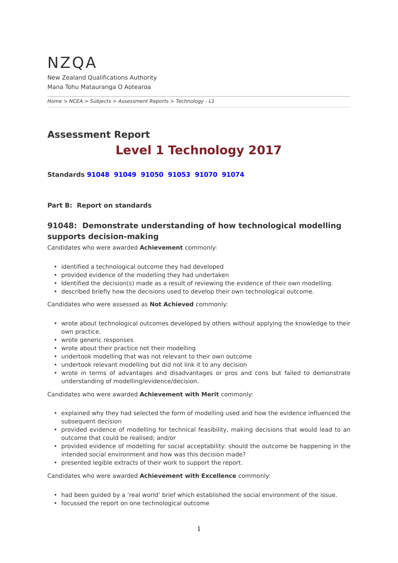## <span id="page-0-0"></span>NZQA New Zealand Qualifications Authority Mana Tohu Matauranga O Aotearoa

*[Home](https://www-test5.nzqa.govt.nz/home) > [NCEA](https://www-test5.nzqa.govt.nz/ncea/) > [Subjects](https://www-test5.nzqa.govt.nz/ncea/subjects/) > [Assessment Reports](https://www-test5.nzqa.govt.nz/ncea/subjects/assessment-reports/) > Technology - L1*

# **Assessment Report Level 1 Technology 2017**

**Standards [91048](https://www-test5.nzqa.govt.nz/#91048)  [91049](https://www-test5.nzqa.govt.nz/#91049) [91050](https://www-test5.nzqa.govt.nz/#91050)  [91053](https://www-test5.nzqa.govt.nz/#91053)  [91070](https://www-test5.nzqa.govt.nz/#91070) [91074](https://www-test5.nzqa.govt.nz/#91074)**

#### **Part B: Report on standards**

### **91048: Demonstrate understanding of how technological modelling supports decision-making**

Candidates who were awarded **Achievement** commonly:

- identified a technological outcome they had developed
- provided evidence of the modelling they had undertaken
- Identified the decision(s) made as a result of reviewing the evidence of their own modelling.
- described briefly how the decisions used to develop their own technological outcome.

Candidates who were assessed as **Not Achieved** commonly:

- wrote about technological outcomes developed by others without applying the knowledge to their own practice.
- wrote generic responses
- wrote about their practice not their modelling
- undertook modelling that was not relevant to their own outcome
- undertook relevant modelling but did not link it to any decision
- wrote in terms of advantages and disadvantages or pros and cons but failed to demonstrate understanding of modelling/evidence/decision.

Candidates who were awarded **Achievement with Merit** commonly:

- explained why they had selected the form of modelling used and how the evidence influenced the subsequent decision
- provided evidence of modelling for technical feasibility, making decisions that would lead to an outcome that could be realised; and/or
- provided evidence of modelling for social acceptability: should the outcome be happening in the intended social environment and how was this decision made?
- presented legible extracts of their work to support the report.

#### Candidates who were awarded **Achievement with Excellence** commonly:

- had been guided by a 'real world' brief which established the social environment of the issue.
- focussed the report on one technological outcome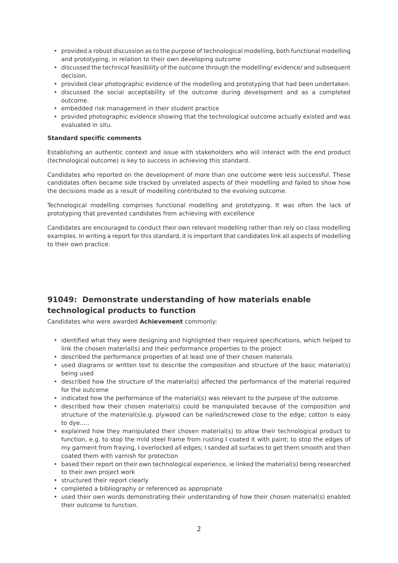- provided a robust discussion as to the purpose of technological modelling, both functional modelling and prototyping, in relation to their own developing outcome
- discussed the technical feasibility of the outcome through the modelling/ evidence/ and subsequent decision.
- provided clear photographic evidence of the modelling and prototyping that had been undertaken.
- discussed the social acceptability of the outcome during development and as a completed outcome.
- embedded risk management in their student practice
- provided photographic evidence showing that the technological outcome actually existed and was evaluated in situ.

#### **Standard specific comments**

Establishing an authentic context and issue with stakeholders who will interact with the end product (technological outcome) is key to success in achieving this standard.

Candidates who reported on the development of more than one outcome were less successful. These candidates often became side tracked by unrelated aspects of their modelling and failed to show how the decisions made as a result of modelling contributed to the evolving outcome.

Technological modelling comprises functional modelling and prototyping. It was often the lack of prototyping that prevented candidates from achieving with excellence

Candidates are encouraged to conduct their own relevant modelling rather than rely on class modelling examples. In writing a report for this standard, it is important that candidates link all aspects of modelling to their own practice.

### **91049: Demonstrate understanding of how materials enable technological products to function**

Candidates who were awarded **Achievement** commonly:

- identified what they were designing and highlighted their required specifications, which helped to link the chosen material(s) and their performance properties to the project
- described the performance properties of at least one of their chosen materials
- used diagrams or written text to describe the composition and structure of the basic material(s) being used
- described how the structure of the material(s) affected the performance of the material required for the outcome
- indicated how the performance of the material(s) was relevant to the purpose of the outcome.
- described how their chosen material(s) could be manipulated because of the composition and structure of the material(s)e.g. plywood can be nailed/screwed close to the edge; cotton is easy to dye…..
- explained how they manipulated their chosen material(s) to allow their technological product to function, e.g. to stop the mild steel frame from rusting I coated it with paint; to stop the edges of my garment from fraying, I overlocked all edges; I sanded all surfaces to get them smooth and then coated them with varnish for protection
- based their report on their own technological experience, ie linked the material(s) being researched to their own project work
- structured their report clearly
- completed a bibliography or referenced as appropriate
- used their own words demonstrating their understanding of how their chosen material(s) enabled their outcome to function.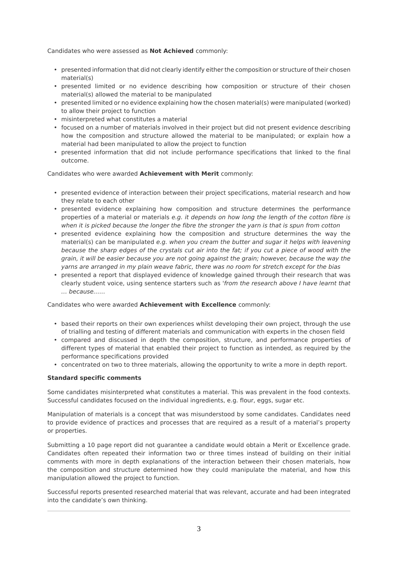Candidates who were assessed as **Not Achieved** commonly:

- presented information that did not clearly identify either the composition or structure of their chosen material(s)
- presented limited or no evidence describing how composition or structure of their chosen material(s) allowed the material to be manipulated
- presented limited or no evidence explaining how the chosen material(s) were manipulated (worked) to allow their project to function
- misinterpreted what constitutes a material
- focused on a number of materials involved in their project but did not present evidence describing how the composition and structure allowed the material to be manipulated; or explain how a material had been manipulated to allow the project to function
- presented information that did not include performance specifications that linked to the final outcome.

Candidates who were awarded **Achievement with Merit** commonly:

- presented evidence of interaction between their project specifications, material research and how they relate to each other
- presented evidence explaining how composition and structure determines the performance properties of a material or materials *e.g. it depends on how long the length of the cotton fibre is when it is picked because the longer the fibre the stronger the yarn is that is spun from cotton*
- presented evidence explaining how the composition and structure determines the way the material(s) can be manipulated *e.g. when you cream the butter and sugar it helps with leavening because the sharp edges of the crystals cut air into the fat; if you cut a piece of wood with the grain, it will be easier because you are not going against the grain; however, because the way the yarns are arranged in my plain weave fabric, there was no room for stretch except for the bias*
- presented a report that displayed evidence of knowledge gained through their research that was clearly student voice, using sentence starters such as *'from the research above I have learnt that … because……*

Candidates who were awarded **Achievement with Excellence** commonly:

- based their reports on their own experiences whilst developing their own project, through the use of trialling and testing of different materials and communication with experts in the chosen field
- compared and discussed in depth the composition, structure, and performance properties of different types of material that enabled their project to function as intended, as required by the performance specifications provided
- concentrated on two to three materials, allowing the opportunity to write a more in depth report.

#### **Standard specific comments**

Some candidates misinterpreted what constitutes a material. This was prevalent in the food contexts. Successful candidates focused on the individual ingredients, e.g. flour, eggs, sugar etc.

Manipulation of materials is a concept that was misunderstood by some candidates. Candidates need to provide evidence of practices and processes that are required as a result of a material's property or properties.

Submitting a 10 page report did not guarantee a candidate would obtain a Merit or Excellence grade. Candidates often repeated their information two or three times instead of building on their initial comments with more in depth explanations of the interaction between their chosen materials, how the composition and structure determined how they could manipulate the material, and how this manipulation allowed the project to function.

Successful reports presented researched material that was relevant, accurate and had been integrated into the candidate's own thinking.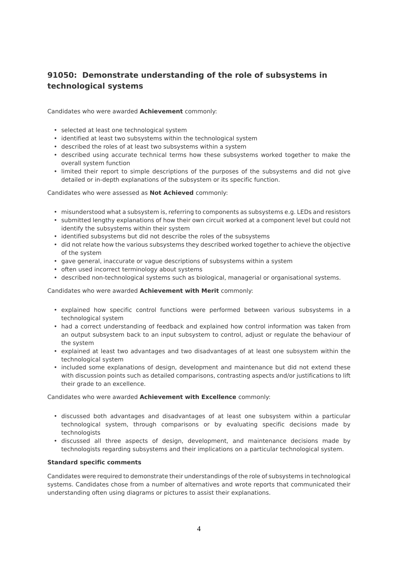### **91050: Demonstrate understanding of the role of subsystems in technological systems**

Candidates who were awarded **Achievement** commonly:

- selected at least one technological system
- identified at least two subsystems within the technological system
- described the roles of at least two subsystems within a system
- described using accurate technical terms how these subsystems worked together to make the overall system function
- limited their report to simple descriptions of the purposes of the subsystems and did not give detailed or in-depth explanations of the subsystem or its specific function.

#### Candidates who were assessed as **Not Achieved** commonly:

- misunderstood what a subsystem is, referring to components as subsystems e.g. LEDs and resistors
- submitted lengthy explanations of how their own circuit worked at a component level but could not identify the subsystems within their system
- identified subsystems but did not describe the roles of the subsystems
- did not relate how the various subsystems they described worked together to achieve the objective of the system
- gave general, inaccurate or vague descriptions of subsystems within a system
- often used incorrect terminology about systems
- described non-technological systems such as biological, managerial or organisational systems.

#### Candidates who were awarded **Achievement with Merit** commonly:

- explained how specific control functions were performed between various subsystems in a technological system
- had a correct understanding of feedback and explained how control information was taken from an output subsystem back to an input subsystem to control, adjust or regulate the behaviour of the system
- explained at least two advantages and two disadvantages of at least one subsystem within the technological system
- included some explanations of design, development and maintenance but did not extend these with discussion points such as detailed comparisons, contrasting aspects and/or justifications to lift their grade to an excellence.

Candidates who were awarded **Achievement with Excellence** commonly:

- discussed both advantages and disadvantages of at least one subsystem within a particular technological system, through comparisons or by evaluating specific decisions made by technologists
- discussed all three aspects of design, development, and maintenance decisions made by technologists regarding subsystems and their implications on a particular technological system.

#### **Standard specific comments**

Candidates were required to demonstrate their understandings of the role of subsystems in technological systems. Candidates chose from a number of alternatives and wrote reports that communicated their understanding often using diagrams or pictures to assist their explanations.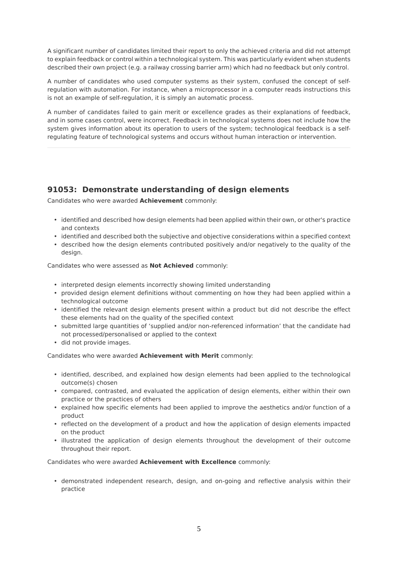A significant number of candidates limited their report to only the achieved criteria and did not attempt to explain feedback or control within a technological system. This was particularly evident when students described their own project (e.g. a railway crossing barrier arm) which had no feedback but only control.

A number of candidates who used computer systems as their system, confused the concept of selfregulation with automation. For instance, when a microprocessor in a computer reads instructions this is not an example of self-regulation, it is simply an automatic process.

A number of candidates failed to gain merit or excellence grades as their explanations of feedback, and in some cases control, were incorrect. Feedback in technological systems does not include how the system gives information about its operation to users of the system; technological feedback is a selfregulating feature of technological systems and occurs without human interaction or intervention.

### **91053: Demonstrate understanding of design elements**

Candidates who were awarded **Achievement** commonly:

- identified and described how design elements had been applied within their own, or other's practice and contexts
- identified and described both the subjective and objective considerations within a specified context
- described how the design elements contributed positively and/or negatively to the quality of the design.

Candidates who were assessed as **Not Achieved** commonly:

- interpreted design elements incorrectly showing limited understanding
- provided design element definitions without commenting on how they had been applied within a technological outcome
- identified the relevant design elements present within a product but did not describe the effect these elements had on the quality of the specified context
- submitted large quantities of 'supplied and/or non-referenced information' that the candidate had not processed/personalised or applied to the context
- did not provide images.

Candidates who were awarded **Achievement with Merit** commonly:

- identified, described, and explained how design elements had been applied to the technological outcome(s) chosen
- compared, contrasted, and evaluated the application of design elements, either within their own practice or the practices of others
- explained how specific elements had been applied to improve the aesthetics and/or function of a product
- reflected on the development of a product and how the application of design elements impacted on the product
- illustrated the application of design elements throughout the development of their outcome throughout their report.

Candidates who were awarded **Achievement with Excellence** commonly:

• demonstrated independent research, design, and on-going and reflective analysis within their practice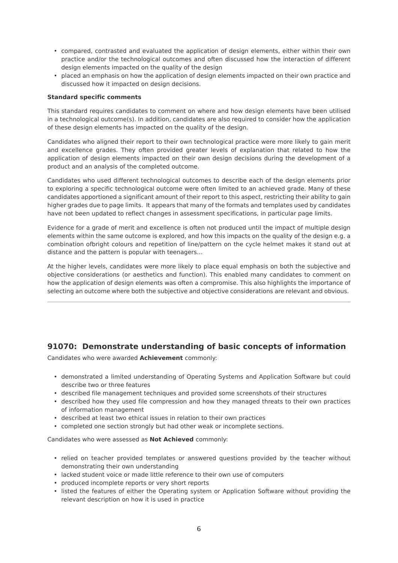- compared, contrasted and evaluated the application of design elements, either within their own practice and/or the technological outcomes and often discussed how the interaction of different design elements impacted on the quality of the design
- placed an emphasis on how the application of design elements impacted on their own practice and discussed how it impacted on design decisions.

#### **Standard specific comments**

This standard requires candidates to comment on where and how design elements have been utilised in a technological outcome(s). In addition, candidates are also required to consider how the application of these design elements has impacted on the quality of the design.

Candidates who aligned their report to their own technological practice were more likely to gain merit and excellence grades. They often provided greater levels of explanation that related to how the application of design elements impacted on their own design decisions during the development of a product and an analysis of the completed outcome.

Candidates who used different technological outcomes to describe each of the design elements prior to exploring a specific technological outcome were often limited to an achieved grade. Many of these candidates apportioned a significant amount of their report to this aspect, restricting their ability to gain higher grades due to page limits. It appears that many of the formats and templates used by candidates have not been updated to reflect changes in assessment specifications, in particular page limits.

Evidence for a grade of merit and excellence is often not produced until the impact of multiple design elements within the same outcome is explored, and how this impacts on the quality of the design e.g. a combination ofbright colours and repetition of line/pattern on the cycle helmet makes it stand out at distance and the pattern is popular with teenagers…

At the higher levels, candidates were more likely to place equal emphasis on both the subjective and objective considerations (or aesthetics and function). This enabled many candidates to comment on how the application of design elements was often a compromise. This also highlights the importance of selecting an outcome where both the subjective and objective considerations are relevant and obvious.

### **91070: Demonstrate understanding of basic concepts of information**

Candidates who were awarded **Achievement** commonly:

- demonstrated a limited understanding of Operating Systems and Application Software but could describe two or three features
- described file management techniques and provided some screenshots of their structures
- described how they used file compression and how they managed threats to their own practices of information management
- described at least two ethical issues in relation to their own practices
- completed one section strongly but had other weak or incomplete sections.

Candidates who were assessed as **Not Achieved** commonly:

- relied on teacher provided templates or answered questions provided by the teacher without demonstrating their own understanding
- lacked student voice or made little reference to their own use of computers
- produced incomplete reports or very short reports
- listed the features of either the Operating system or Application Software without providing the relevant description on how it is used in practice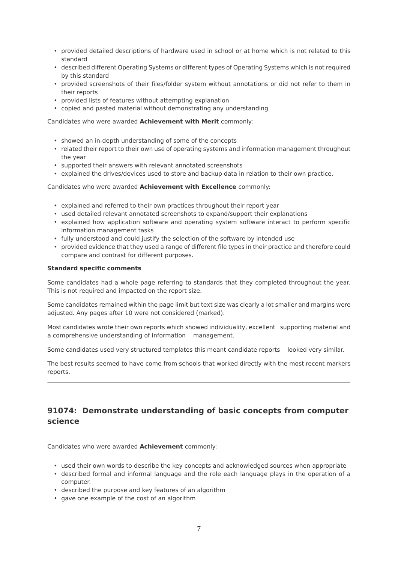- provided detailed descriptions of hardware used in school or at home which is not related to this standard
- described different Operating Systems or different types of Operating Systems which is not required by this standard
- provided screenshots of their files/folder system without annotations or did not refer to them in their reports
- provided lists of features without attempting explanation
- copied and pasted material without demonstrating any understanding.

Candidates who were awarded **Achievement with Merit** commonly:

- showed an in-depth understanding of some of the concepts
- related their report to their own use of operating systems and information management throughout the year
- supported their answers with relevant annotated screenshots
- explained the drives/devices used to store and backup data in relation to their own practice.

Candidates who were awarded **Achievement with Excellence** commonly:

- explained and referred to their own practices throughout their report year
- used detailed relevant annotated screenshots to expand/support their explanations
- explained how application software and operating system software interact to perform specific information management tasks
- fully understood and could justify the selection of the software by intended use
- provided evidence that they used a range of different file types in their practice and therefore could compare and contrast for different purposes.

#### **Standard specific comments**

Some candidates had a whole page referring to standards that they completed throughout the year. This is not required and impacted on the report size.

Some candidates remained within the page limit but text size was clearly a lot smaller and margins were adjusted. Any pages after 10 were not considered (marked).

Most candidates wrote their own reports which showed individuality, excellent supporting material and a comprehensive understanding of information management.

Some candidates used very structured templates this meant candidate reports looked very similar.

The best results seemed to have come from schools that worked directly with the most recent markers reports.

### **91074: Demonstrate understanding of basic concepts from computer science**

Candidates who were awarded **Achievement** commonly:

- used their own words to describe the key concepts and acknowledged sources when appropriate
- described formal and informal language and the role each language plays in the operation of a computer.
- described the purpose and key features of an algorithm
- gave one example of the cost of an algorithm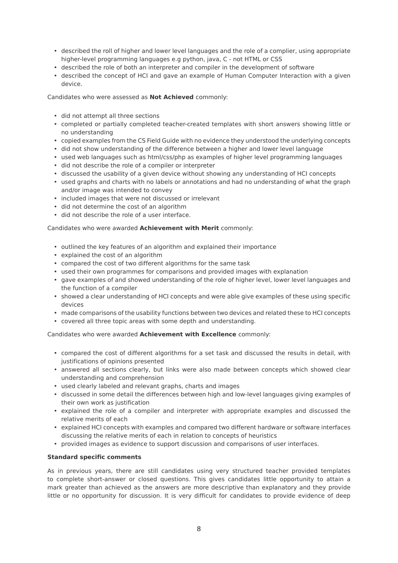- described the roll of higher and lower level languages and the role of a complier, using appropriate higher-level programming languages e.g python, java, C - not HTML or CSS
- described the role of both an interpreter and compiler in the development of software
- described the concept of HCI and gave an example of Human Computer Interaction with a given device.

Candidates who were assessed as **Not Achieved** commonly:

- did not attempt all three sections
- completed or partially completed teacher-created templates with short answers showing little or no understanding
- copied examples from the CS Field Guide with no evidence they understood the underlying concepts
- did not show understanding of the difference between a higher and lower level language
- used web languages such as html/css/php as examples of higher level programming languages
- did not describe the role of a compiler or interpreter
- discussed the usability of a given device without showing any understanding of HCI concepts
- used graphs and charts with no labels or annotations and had no understanding of what the graph and/or image was intended to convey
- included images that were not discussed or irrelevant
- did not determine the cost of an algorithm
- did not describe the role of a user interface.

#### Candidates who were awarded **Achievement with Merit** commonly:

- outlined the key features of an algorithm and explained their importance
- explained the cost of an algorithm
- compared the cost of two different algorithms for the same task
- used their own programmes for comparisons and provided images with explanation
- gave examples of and showed understanding of the role of higher level, lower level languages and the function of a compiler
- showed a clear understanding of HCI concepts and were able give examples of these using specific devices
- made comparisons of the usability functions between two devices and related these to HCI concepts
- covered all three topic areas with some depth and understanding.

Candidates who were awarded **Achievement with Excellence** commonly:

- compared the cost of different algorithms for a set task and discussed the results in detail, with justifications of opinions presented
- answered all sections clearly, but links were also made between concepts which showed clear understanding and comprehension
- used clearly labeled and relevant graphs, charts and images
- discussed in some detail the differences between high and low-level languages giving examples of their own work as justification
- explained the role of a compiler and interpreter with appropriate examples and discussed the relative merits of each
- explained HCI concepts with examples and compared two different hardware or software interfaces discussing the relative merits of each in relation to concepts of heuristics
- provided images as evidence to support discussion and comparisons of user interfaces.

#### **Standard specific comments**

As in previous years, there are still candidates using very structured teacher provided templates to complete short-answer or closed questions. This gives candidates little opportunity to attain a mark greater than achieved as the answers are more descriptive than explanatory and they provide little or no opportunity for discussion. It is very difficult for candidates to provide evidence of deep